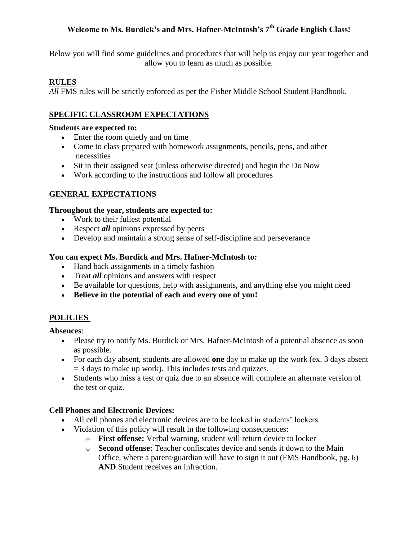# **Welcome to Ms. Burdick's and Mrs. Hafner-McIntosh's 7 th Grade English Class!**

Below you will find some guidelines and procedures that will help us enjoy our year together and allow you to learn as much as possible.

# **RULES**

All FMS rules will be strictly enforced as per the Fisher Middle School Student Handbook.

# **SPECIFIC CLASSROOM EXPECTATIONS**

### **Students are expected to:**

- Enter the room quietly and on time
- Come to class prepared with homework assignments, pencils, pens, and other necessities
- Sit in their assigned seat (unless otherwise directed) and begin the Do Now
- Work according to the instructions and follow all procedures

## **GENERAL EXPECTATIONS**

### **Throughout the year, students are expected to:**

- Work to their fullest potential
- Respect *all* opinions expressed by peers
- Develop and maintain a strong sense of self-discipline and perseverance

### **You can expect Ms. Burdick and Mrs. Hafner-McIntosh to:**

- Hand back assignments in a timely fashion
- Treat *all* opinions and answers with respect
- Be available for questions, help with assignments, and anything else you might need
- **Believe in the potential of each and every one of you!**

# **POLICIES**

### **Absences**:

- Please try to notify Ms. Burdick or Mrs. Hafner-McIntosh of a potential absence as soon as possible.
- For each day absent, students are allowed **one** day to make up the work (ex. 3 days absent  $=$  3 days to make up work). This includes tests and quizzes.
- Students who miss a test or quiz due to an absence will complete an alternate version of the test or quiz.

## **Cell Phones and Electronic Devices:**

- All cell phones and electronic devices are to be locked in students' lockers.
- Violation of this policy will result in the following consequences:
	- o **First offense:** Verbal warning, student will return device to locker
	- o **Second offense:** Teacher confiscates device and sends it down to the Main Office, where a parent/guardian will have to sign it out (FMS Handbook, pg. 6) **AND** Student receives an infraction.